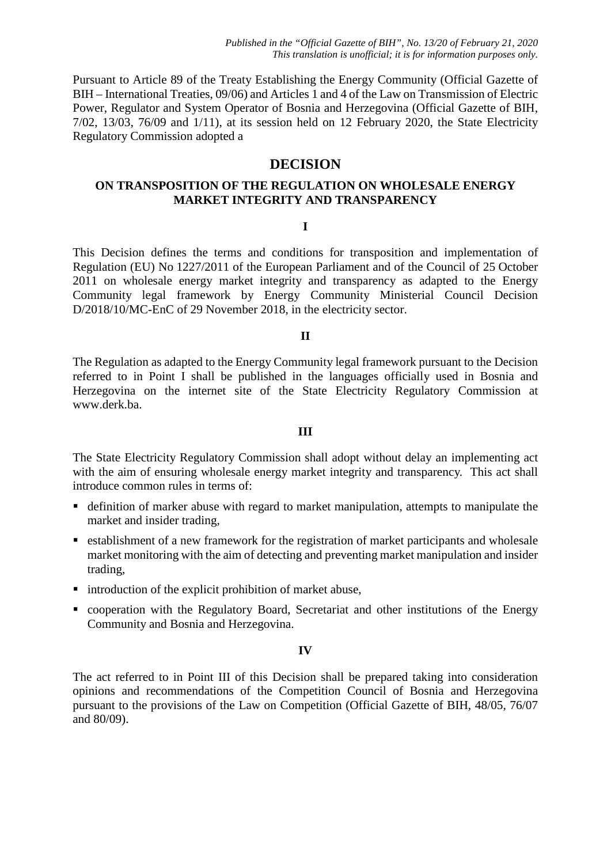Pursuant to Article 89 of the Treaty Establishing the Energy Community (Official Gazette of BIH – International Treaties, 09/06) and Articles 1 and 4 of the Law on Transmission of Electric Power, Regulator and System Operator of Bosnia and Herzegovina (Official Gazette of BIH, 7/02, 13/03, 76/09 and 1/11), at its session held on 12 February 2020, the State Electricity Regulatory Commission adopted a

# **DECISION**

# **ON TRANSPOSITION OF THE REGULATION ON WHOLESALE ENERGY MARKET INTEGRITY AND TRANSPARENCY**

### **I**

This Decision defines the terms and conditions for transposition and implementation of Regulation (EU) No 1227/2011 of the European Parliament and of the Council of 25 October 2011 on wholesale energy market integrity and transparency as adapted to the Energy Community legal framework by Energy Community Ministerial Council Decision D/2018/10/MC-EnC of 29 November 2018, in the electricity sector.

# **II**

The Regulation as adapted to the Energy Community legal framework pursuant to the Decision referred to in Point I shall be published in the languages officially used in Bosnia and Herzegovina on the internet site of the State Electricity Regulatory Commission at [www.derk.ba.](http://www.derk.ba/)

#### **III**

The State Electricity Regulatory Commission shall adopt without delay an implementing act with the aim of ensuring wholesale energy market integrity and transparency. This act shall introduce common rules in terms of:

- definition of marker abuse with regard to market manipulation, attempts to manipulate the market and insider trading,
- establishment of a new framework for the registration of market participants and wholesale market monitoring with the aim of detecting and preventing market manipulation and insider trading,
- $\blacksquare$  introduction of the explicit prohibition of market abuse,
- cooperation with the Regulatory Board, Secretariat and other institutions of the Energy Community and Bosnia and Herzegovina.

#### **IV**

The act referred to in Point III of this Decision shall be prepared taking into consideration opinions and recommendations of the Competition Council of Bosnia and Herzegovina pursuant to the provisions of the Law on Competition (Official Gazette of BIH, 48/05, 76/07 and 80/09).